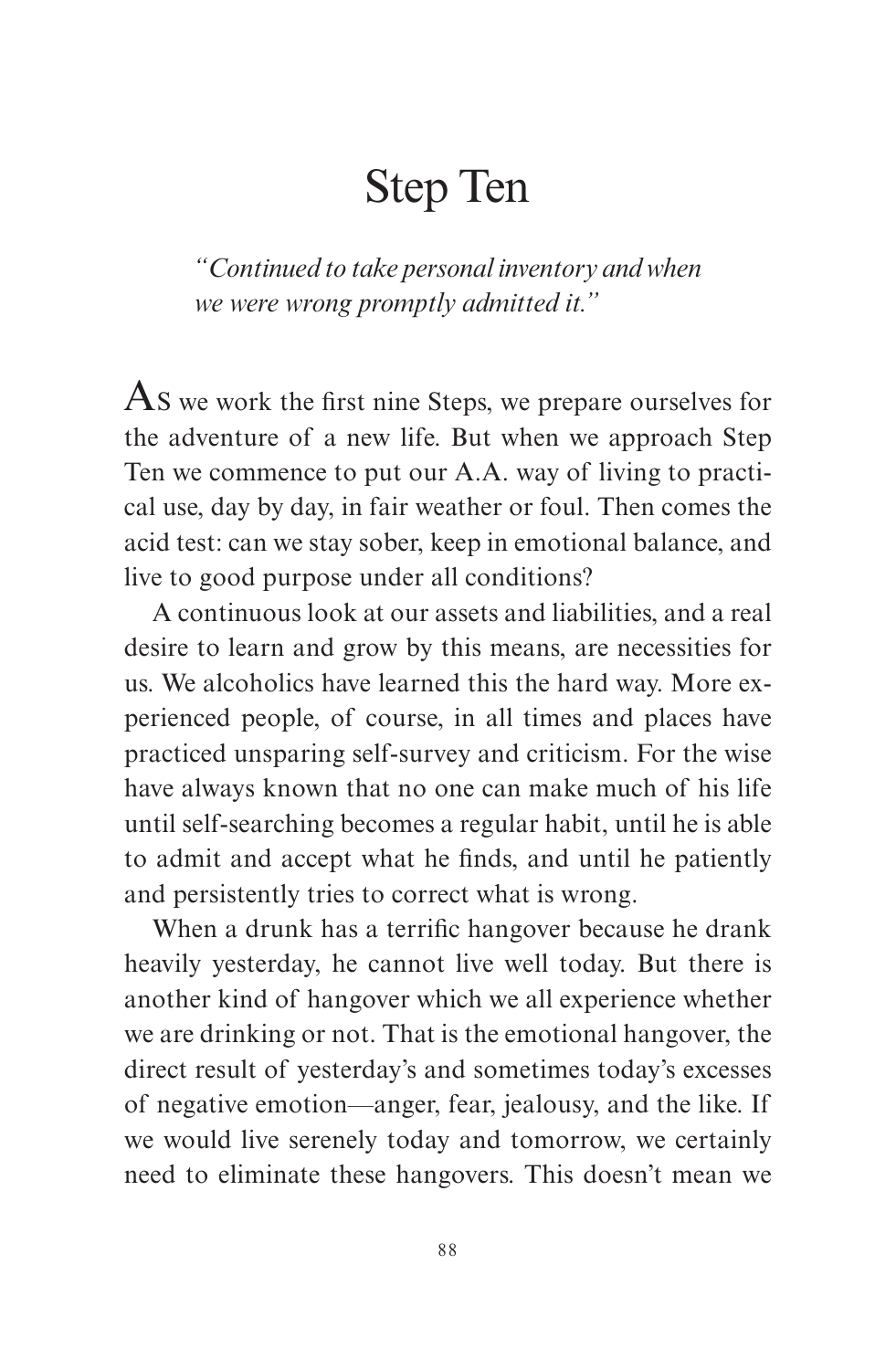## Step Ten

*"Continued to take personal inventory and when we were wrong promptly admitted it."*

 $\overline{As}$  we work the first nine Steps, we prepare ourselves for the adventure of a new life. But when we approach Step Ten we commence to put our A.A. way of living to practical use, day by day, in fair weather or foul. Then comes the acid test: can we stay sober, keep in emotional balance, and live to good purpose under all conditions?

A continuous look at our assets and liabilities, and a real desire to learn and grow by this means, are necessities for us. We alcoholics have learned this the hard way. More experienced people, of course, in all times and places have practiced unsparing self-survey and criticism. For the wise have always known that no one can make much of his life until self-searching becomes a regular habit, until he is able to admit and accept what he finds, and until he patiently and persistently tries to correct what is wrong.

When a drunk has a terrific hangover because he drank heavily yesterday, he cannot live well today. But there is another kind of hangover which we all experience whether we are drinking or not. That is the emotional hangover, the direct result of yesterday's and sometimes today's excesses of negative emotion—anger, fear, jealousy, and the like. If we would live serenely today and tomorrow, we certainly need to eliminate these hangovers. This doesn't mean we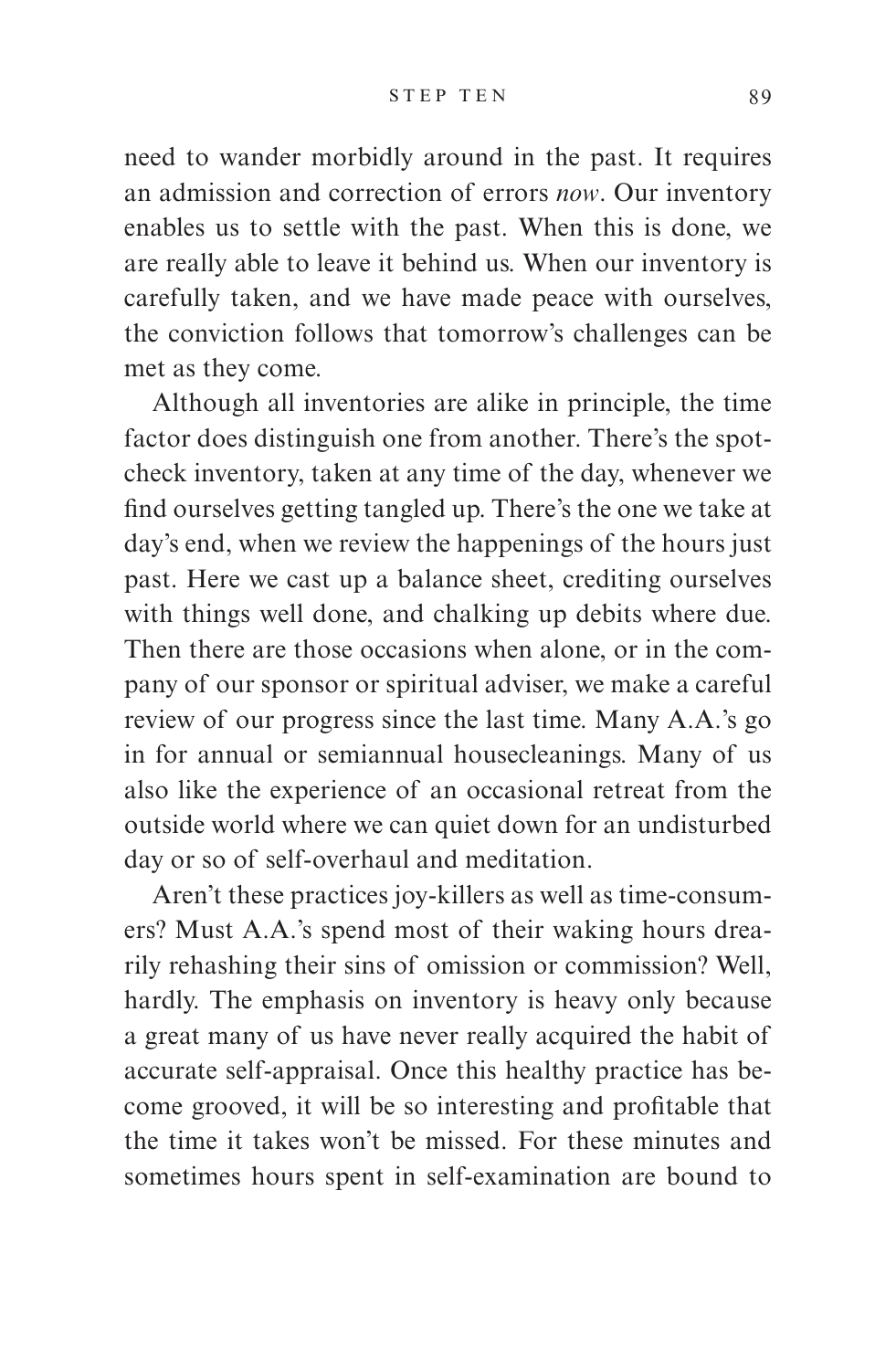need to wander morbidly around in the past. It requires an admission and correction of errors *now*. Our inventory enables us to settle with the past. When this is done, we are really able to leave it behind us. When our inventory is carefully taken, and we have made peace with ourselves, the conviction follows that tomorrow's challenges can be met as they come.

Although all inventories are alike in principle, the time factor does distinguish one from another. There's the spotcheck inventory, taken at any time of the day, whenever we find ourselves getting tangled up. There's the one we take at day's end, when we review the happenings of the hours just past. Here we cast up a balance sheet, crediting ourselves with things well done, and chalking up debits where due. Then there are those occasions when alone, or in the company of our sponsor or spiritual adviser, we make a careful review of our progress since the last time. Many A.A.'s go in for annual or semiannual housecleanings. Many of us also like the experience of an occasional retreat from the outside world where we can quiet down for an undisturbed day or so of self-overhaul and meditation.

Aren't these practices joy-killers as well as time-consumers? Must A.A.'s spend most of their waking hours drearily rehashing their sins of omission or commission? Well, hardly. The emphasis on inventory is heavy only because a great many of us have never really acquired the habit of accurate self-appraisal. Once this healthy practice has become grooved, it will be so interesting and profitable that the time it takes won't be missed. For these minutes and sometimes hours spent in self-examination are bound to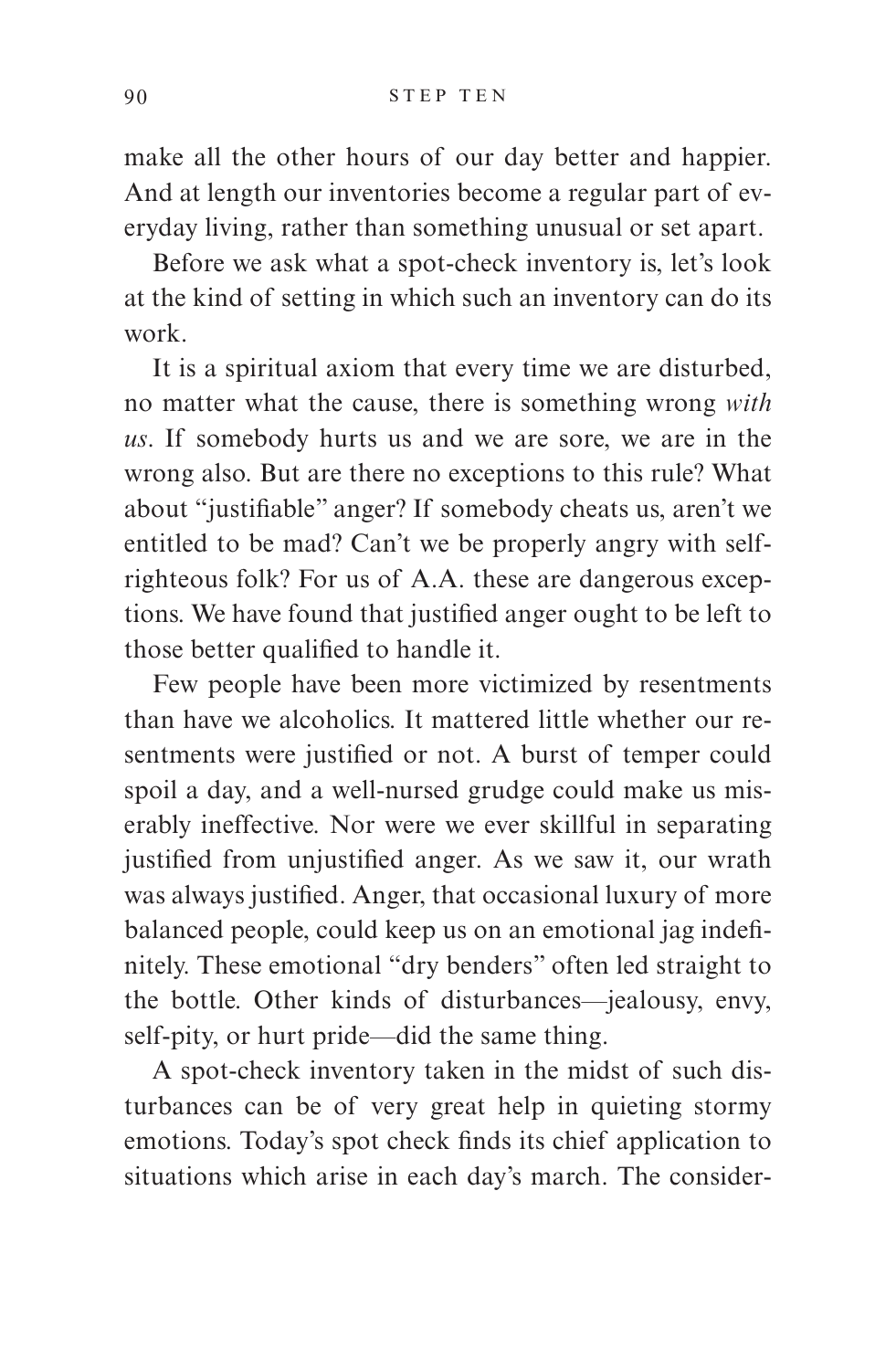make all the other hours of our day better and happier. And at length our inventories become a regular part of everyday living, rather than something unusual or set apart.

Before we ask what a spot-check inventory is, let's look at the kind of setting in which such an inventory can do its work.

It is a spiritual axiom that every time we are disturbed, no matter what the cause, there is something wrong *with us*. If somebody hurts us and we are sore, we are in the wrong also. But are there no exceptions to this rule? What about "justifiable" anger? If somebody cheats us, aren't we entitled to be mad? Can't we be properly angry with selfrighteous folk? For us of A.A. these are dangerous exceptions. We have found that justified anger ought to be left to those better qualified to handle it.

Few people have been more victimized by resentments than have we alcoholics. It mattered little whether our resentments were justified or not. A burst of temper could spoil a day, and a well-nursed grudge could make us miserably ineffective. Nor were we ever skillful in separating justified from unjustified anger. As we saw it, our wrath was always justified. Anger, that occasional luxury of more balanced people, could keep us on an emotional jag indefinitely. These emotional "dry benders" often led straight to the bottle. Other kinds of disturbances—jealousy, envy, self-pity, or hurt pride—did the same thing.

A spot-check inventory taken in the midst of such disturbances can be of very great help in quieting stormy emotions. Today's spot check finds its chief application to situations which arise in each day's march. The consider-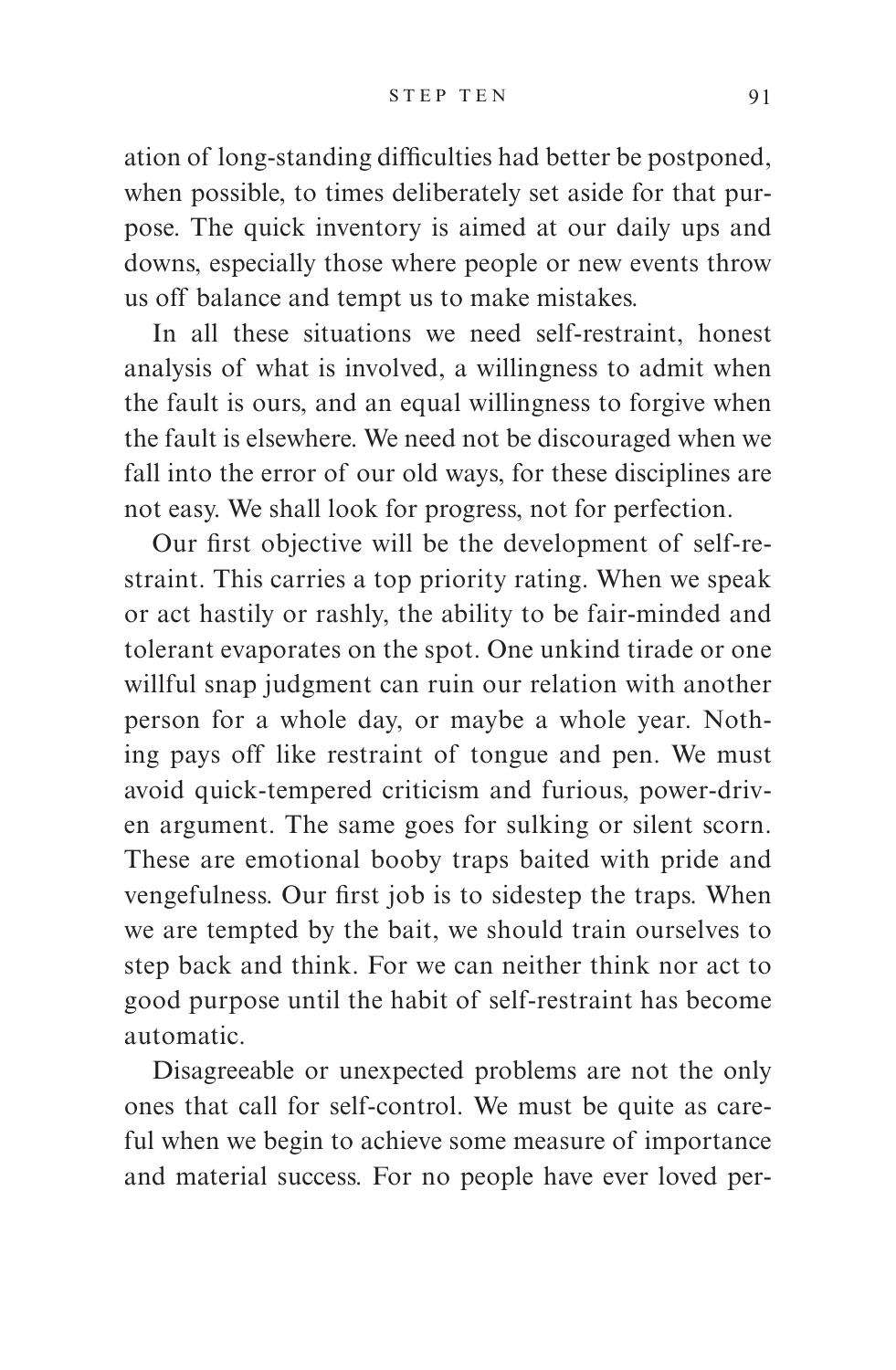## STEP TEN 91

ation of long-standing difficulties had better be postponed, when possible, to times deliberately set aside for that purpose. The quick inventory is aimed at our daily ups and downs, especially those where people or new events throw us off balance and tempt us to make mistakes.

In all these situations we need self-restraint, honest analysis of what is involved, a willingness to admit when the fault is ours, and an equal willingness to forgive when the fault is elsewhere. We need not be discouraged when we fall into the error of our old ways, for these disciplines are not easy. We shall look for progress, not for perfection.

Our first objective will be the development of self-restraint. This carries a top priority rating. When we speak or act hastily or rashly, the ability to be fair-minded and tolerant evaporates on the spot. One unkind tirade or one willful snap judgment can ruin our relation with another person for a whole day, or maybe a whole year. Nothing pays off like restraint of tongue and pen. We must avoid quick-tempered criticism and furious, power-driven argument. The same goes for sulking or silent scorn. These are emotional booby traps baited with pride and vengefulness. Our first job is to sidestep the traps. When we are tempted by the bait, we should train ourselves to step back and think. For we can neither think nor act to good purpose until the habit of self-restraint has become automatic.

Disagreeable or unexpected problems are not the only ones that call for self-control. We must be quite as careful when we begin to achieve some measure of importance and material success. For no people have ever loved per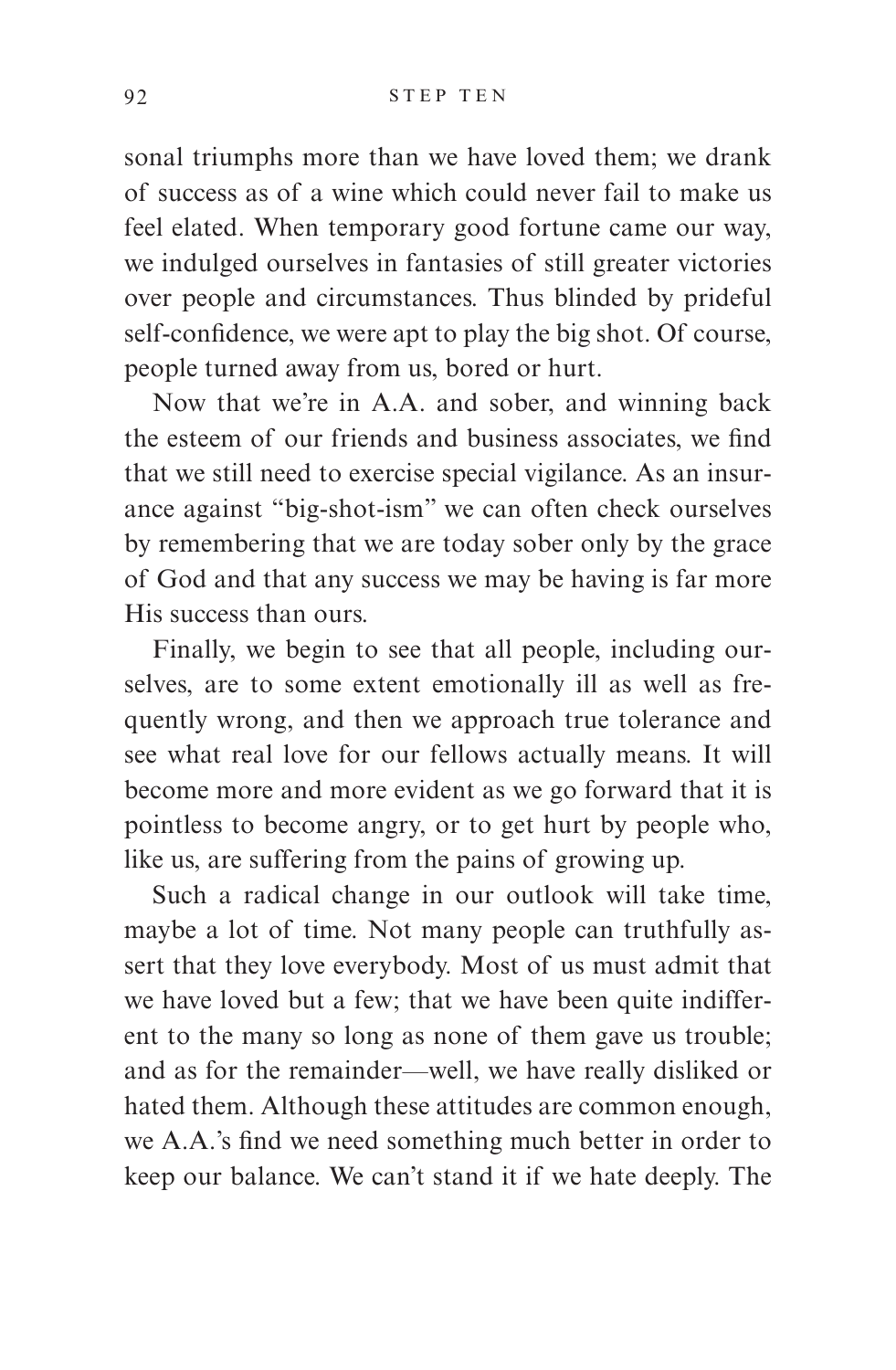sonal triumphs more than we have loved them; we drank of success as of a wine which could never fail to make us feel elated. When temporary good fortune came our way, we indulged ourselves in fantasies of still greater victories over people and circumstances. Thus blinded by prideful self-confidence, we were apt to play the big shot. Of course, people turned away from us, bored or hurt.

Now that we're in A.A. and sober, and winning back the esteem of our friends and business associates, we find that we still need to exercise special vigilance. As an insurance against "big-shot-ism" we can often check ourselves by remembering that we are today sober only by the grace of God and that any success we may be having is far more His success than ours.

Finally, we begin to see that all people, including ourselves, are to some extent emotionally ill as well as frequently wrong, and then we approach true tolerance and see what real love for our fellows actually means. It will become more and more evident as we go forward that it is pointless to become angry, or to get hurt by people who, like us, are suffering from the pains of growing up.

Such a radical change in our outlook will take time, maybe a lot of time. Not many people can truthfully assert that they love everybody. Most of us must admit that we have loved but a few; that we have been quite indifferent to the many so long as none of them gave us trouble; and as for the remainder—well, we have really disliked or hated them. Although these attitudes are common enough, we A.A.'s find we need something much better in order to keep our balance. We can't stand it if we hate deeply. The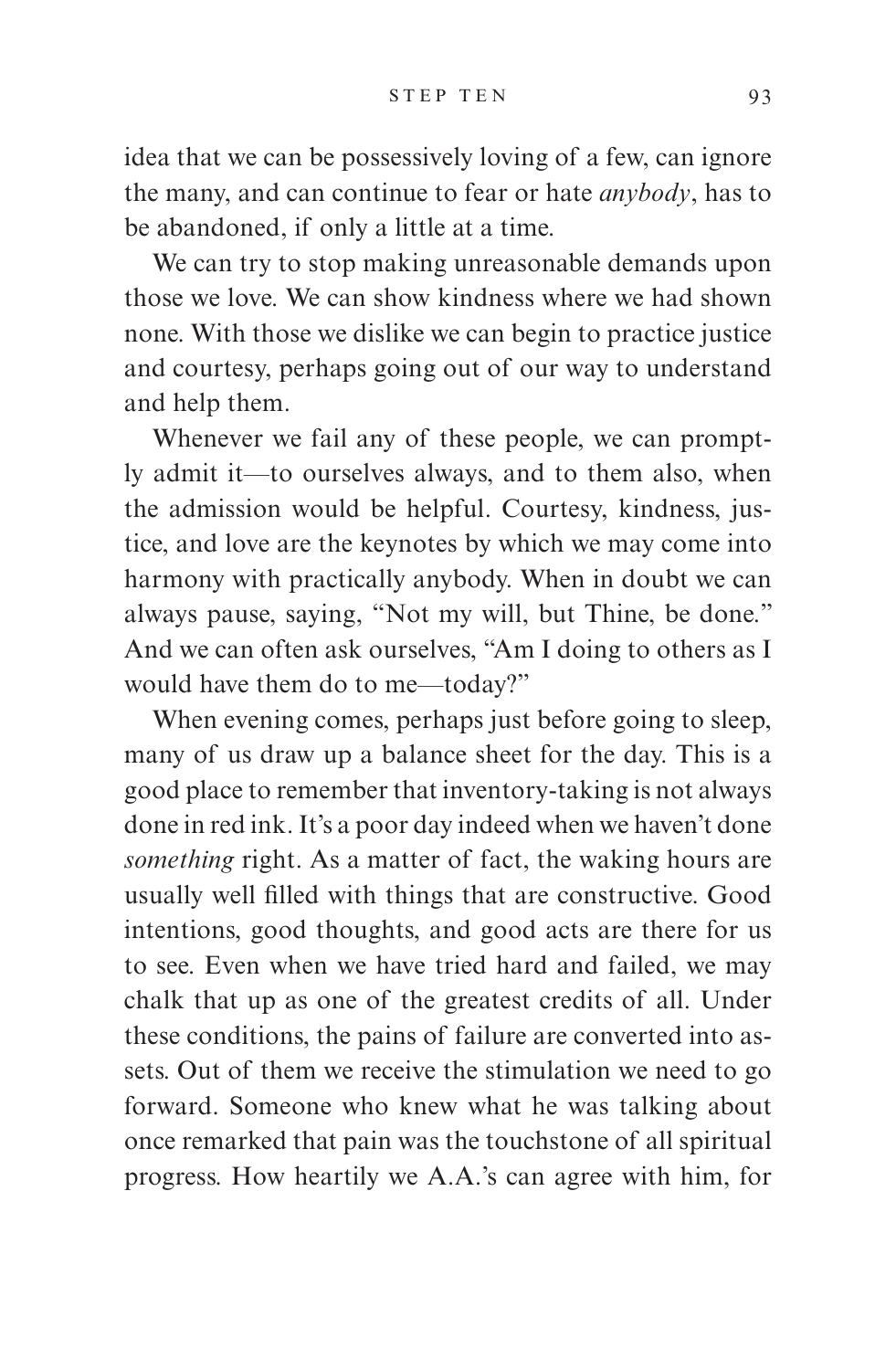idea that we can be possessively loving of a few, can ignore the many, and can continue to fear or hate *anybody*, has to be abandoned, if only a little at a time.

We can try to stop making unreasonable demands upon those we love. We can show kindness where we had shown none. With those we dislike we can begin to practice justice and courtesy, perhaps going out of our way to understand and help them.

Whenever we fail any of these people, we can promptly admit it—to ourselves always, and to them also, when the admission would be helpful. Courtesy, kindness, justice, and love are the keynotes by which we may come into harmony with practically anybody. When in doubt we can always pause, saying, "Not my will, but Thine, be done." And we can often ask ourselves, "Am I doing to others as I would have them do to me—today?"

When evening comes, perhaps just before going to sleep, many of us draw up a balance sheet for the day. This is a good place to remember that inventory-taking is not always done in red ink. It's a poor day indeed when we haven't done *something* right. As a matter of fact, the waking hours are usually well filled with things that are constructive. Good intentions, good thoughts, and good acts are there for us to see. Even when we have tried hard and failed, we may chalk that up as one of the greatest credits of all. Under these conditions, the pains of failure are converted into assets. Out of them we receive the stimulation we need to go forward. Someone who knew what he was talking about once remarked that pain was the touchstone of all spiritual progress. How heartily we A.A.'s can agree with him, for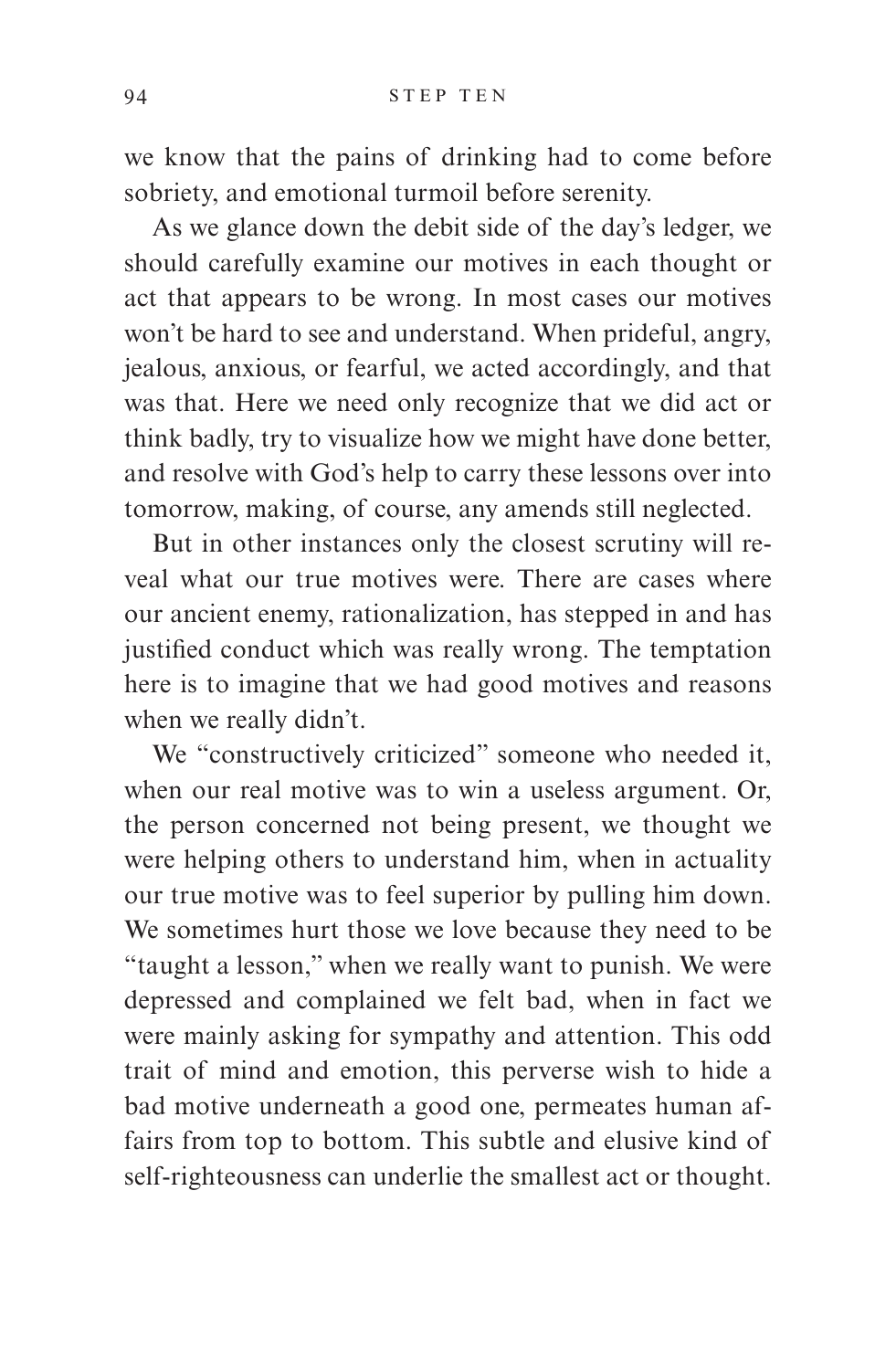we know that the pains of drinking had to come before sobriety, and emotional turmoil before serenity.

As we glance down the debit side of the day's ledger, we should carefully examine our motives in each thought or act that appears to be wrong. In most cases our motives won't be hard to see and understand. When prideful, angry, jealous, anxious, or fearful, we acted accordingly, and that was that. Here we need only recognize that we did act or think badly, try to visualize how we might have done better, and resolve with God's help to carry these lessons over into tomorrow, making, of course, any amends still neglected.

But in other instances only the closest scrutiny will reveal what our true motives were. There are cases where our ancient enemy, rationalization, has stepped in and has justified conduct which was really wrong. The temptation here is to imagine that we had good motives and reasons when we really didn't.

We "constructively criticized" someone who needed it, when our real motive was to win a useless argument. Or, the person concerned not being present, we thought we were helping others to understand him, when in actuality our true motive was to feel superior by pulling him down. We sometimes hurt those we love because they need to be "taught a lesson," when we really want to punish. We were depressed and complained we felt bad, when in fact we were mainly asking for sympathy and attention. This odd trait of mind and emotion, this perverse wish to hide a bad motive underneath a good one, permeates human affairs from top to bottom. This subtle and elusive kind of self-righteousness can underlie the smallest act or thought.